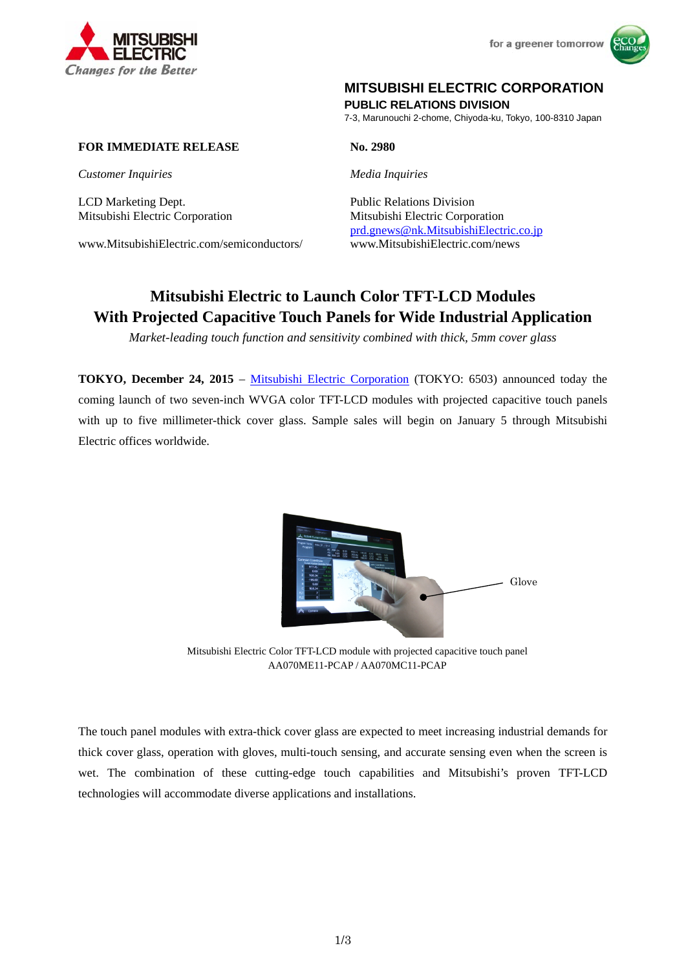



# **MITSUBISHI ELECTRIC CORPORATION**

**PUBLIC RELATIONS DIVISION** 

7-3, Marunouchi 2-chome, Chiyoda-ku, Tokyo, 100-8310 Japan

# **FOR IMMEDIATE RELEASE No. 2980**

*Customer Inquiries Media Inquiries*

LCD Marketing Dept. Public Relations Division

www.MitsubishiElectric.com/semiconductors/ www.MitsubishiElectric.com/news

Mitsubishi Electric Corporation Mitsubishi Electric Corporation prd.gnews@nk.MitsubishiElectric.co.jp

# **Mitsubishi Electric to Launch Color TFT-LCD Modules With Projected Capacitive Touch Panels for Wide Industrial Application**

*Market-leading touch function and sensitivity combined with thick, 5mm cover glass* 

**TOKYO, December 24, 2015** – Mitsubishi Electric Corporation (TOKYO: 6503) announced today the coming launch of two seven-inch WVGA color TFT-LCD modules with projected capacitive touch panels with up to five millimeter-thick cover glass. Sample sales will begin on January 5 through Mitsubishi Electric offices worldwide.



Mitsubishi Electric Color TFT-LCD module with projected capacitive touch panel AA070ME11-PCAP / AA070MC11-PCAP

The touch panel modules with extra-thick cover glass are expected to meet increasing industrial demands for thick cover glass, operation with gloves, multi-touch sensing, and accurate sensing even when the screen is wet. The combination of these cutting-edge touch capabilities and Mitsubishi's proven TFT-LCD technologies will accommodate diverse applications and installations.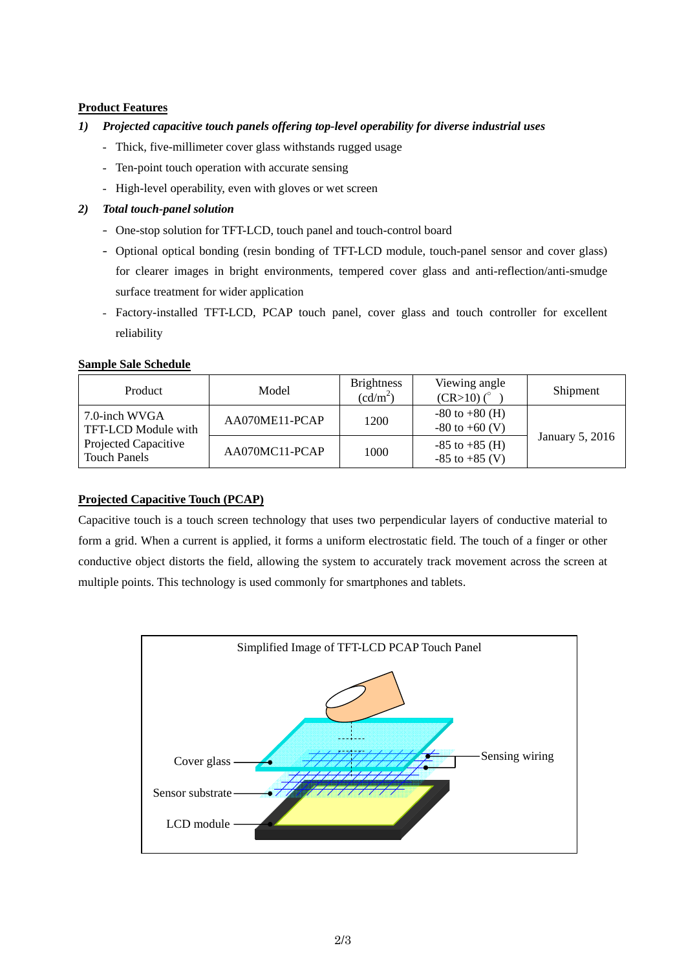## **Product Features**

### *1) Projected capacitive touch panels offering top-level operability for diverse industrial uses*

- Thick, five-millimeter cover glass withstands rugged usage
- Ten-point touch operation with accurate sensing
- High-level operability, even with gloves or wet screen

# *2) Total touch-panel solution*

- One-stop solution for TFT-LCD, touch panel and touch-control board
- Optional optical bonding (resin bonding of TFT-LCD module, touch-panel sensor and cover glass) for clearer images in bright environments, tempered cover glass and anti-reflection/anti-smudge surface treatment for wider application
- Factory-installed TFT-LCD, PCAP touch panel, cover glass and touch controller for excellent reliability

# **Sample Sale Schedule**

| Product                                                                             | Model          | <b>Brightness</b><br>$(cd/m^2)$ | Viewing angle<br>$(CR>10)$ $(^\circ$     | Shipment        |
|-------------------------------------------------------------------------------------|----------------|---------------------------------|------------------------------------------|-----------------|
| 7.0-inch WVGA<br>TFT-LCD Module with<br>Projected Capacitive<br><b>Touch Panels</b> | AA070ME11-PCAP | 1200                            | $-80$ to $+80$ (H)<br>$-80$ to $+60$ (V) | January 5, 2016 |
|                                                                                     | AA070MC11-PCAP | 1000                            | $-85$ to $+85$ (H)<br>$-85$ to $+85$ (V) |                 |

# **Projected Capacitive Touch (PCAP)**

Capacitive touch is a touch screen technology that uses two perpendicular layers of conductive material to form a grid. When a current is applied, it forms a uniform electrostatic field. The touch of a finger or other conductive object distorts the field, allowing the system to accurately track movement across the screen at multiple points. This technology is used commonly for smartphones and tablets.